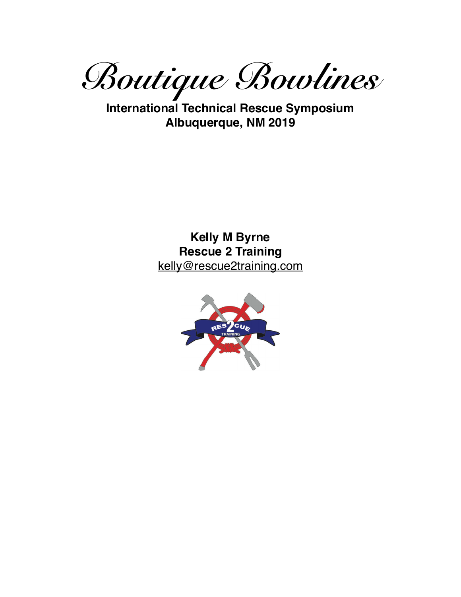*Boutique Bowlines* 

**International Technical Rescue Symposium Albuquerque, NM 2019**

> **Kelly M Byrne Rescue 2 Training** kelly@rescue2training.com

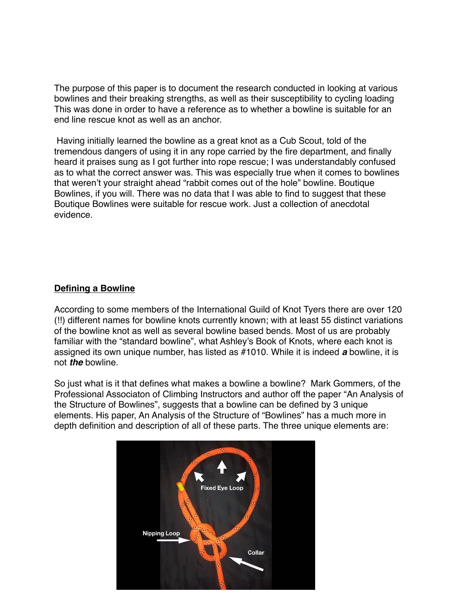The purpose of this paper is to document the research conducted in looking at various bowlines and their breaking strengths, as well as their susceptibility to cycling loading This was done in order to have a reference as to whether a bowline is suitable for an end line rescue knot as well as an anchor.

 Having initially learned the bowline as a great knot as a Cub Scout, told of the tremendous dangers of using it in any rope carried by the fire department, and finally heard it praises sung as I got further into rope rescue; I was understandably confused as to what the correct answer was. This was especially true when it comes to bowlines that weren't your straight ahead "rabbit comes out of the hole" bowline. Boutique Bowlines, if you will. There was no data that I was able to find to suggest that these Boutique Bowlines were suitable for rescue work. Just a collection of anecdotal evidence.

#### **Defining a Bowline**

According to some members of the International Guild of Knot Tyers there are over 120 (!!) different names for bowline knots currently known; with at least 55 distinct variations of the bowline knot as well as several bowline based bends. Most of us are probably familiar with the "standard bowline", what Ashley's Book of Knots, where each knot is assigned its own unique number, has listed as #1010. While it is indeed *a* bowline, it is not *the* bowline.

So just what is it that defines what makes a bowline a bowline? Mark Gommers, of the Professional Associaton of Climbing Instructors and author off the paper "An Analysis of the Structure of Bowlines", suggests that a bowline can be defined by 3 unique elements. His paper, An Analysis of the Structure of "Bowlines" has a much more in depth definition and description of all of these parts. The three unique elements are:

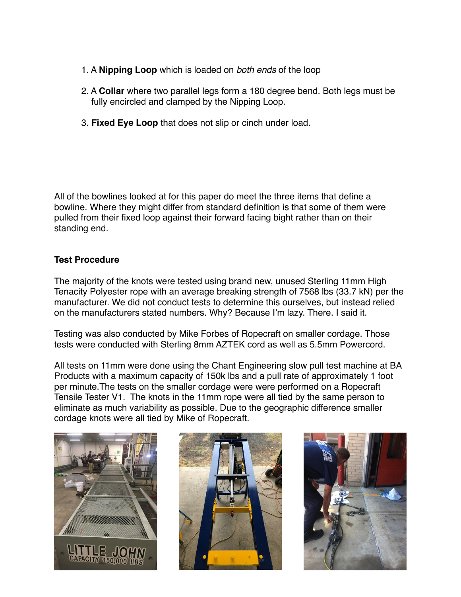- 1. A **Nipping Loop** which is loaded on *both ends* of the loop
- 2. A **Collar** where two parallel legs form a 180 degree bend. Both legs must be fully encircled and clamped by the Nipping Loop.
- 3. **Fixed Eye Loop** that does not slip or cinch under load.

All of the bowlines looked at for this paper do meet the three items that define a bowline. Where they might differ from standard definition is that some of them were pulled from their fixed loop against their forward facing bight rather than on their standing end.

## **Test Procedure**

The majority of the knots were tested using brand new, unused Sterling 11mm High Tenacity Polyester rope with an average breaking strength of 7568 lbs (33.7 kN) per the manufacturer. We did not conduct tests to determine this ourselves, but instead relied on the manufacturers stated numbers. Why? Because I'm lazy. There. I said it.

Testing was also conducted by Mike Forbes of Ropecraft on smaller cordage. Those tests were conducted with Sterling 8mm AZTEK cord as well as 5.5mm Powercord.

All tests on 11mm were done using the Chant Engineering slow pull test machine at BA Products with a maximum capacity of 150k lbs and a pull rate of approximately 1 foot per minute.The tests on the smaller cordage were were performed on a Ropecraft Tensile Tester V1. The knots in the 11mm rope were all tied by the same person to eliminate as much variability as possible. Due to the geographic difference smaller cordage knots were all tied by Mike of Ropecraft.





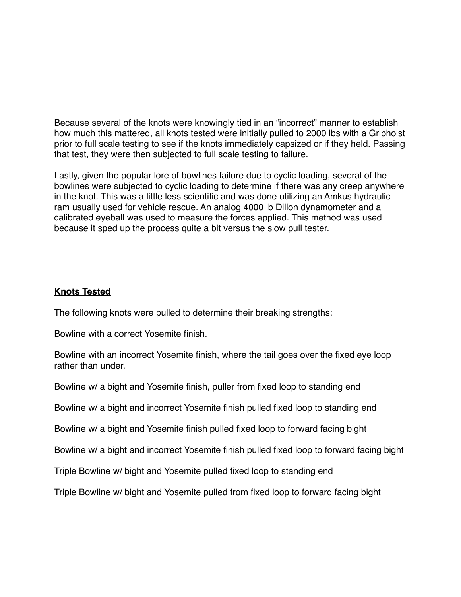Because several of the knots were knowingly tied in an "incorrect" manner to establish how much this mattered, all knots tested were initially pulled to 2000 lbs with a Griphoist prior to full scale testing to see if the knots immediately capsized or if they held. Passing that test, they were then subjected to full scale testing to failure.

Lastly, given the popular lore of bowlines failure due to cyclic loading, several of the bowlines were subjected to cyclic loading to determine if there was any creep anywhere in the knot. This was a little less scientific and was done utilizing an Amkus hydraulic ram usually used for vehicle rescue. An analog 4000 lb Dillon dynamometer and a calibrated eyeball was used to measure the forces applied. This method was used because it sped up the process quite a bit versus the slow pull tester.

### **Knots Tested**

The following knots were pulled to determine their breaking strengths:

Bowline with a correct Yosemite finish.

Bowline with an incorrect Yosemite finish, where the tail goes over the fixed eye loop rather than under.

Bowline w/ a bight and Yosemite finish, puller from fixed loop to standing end

Bowline w/ a bight and incorrect Yosemite finish pulled fixed loop to standing end

Bowline w/ a bight and Yosemite finish pulled fixed loop to forward facing bight

Bowline w/ a bight and incorrect Yosemite finish pulled fixed loop to forward facing bight

Triple Bowline w/ bight and Yosemite pulled fixed loop to standing end

Triple Bowline w/ bight and Yosemite pulled from fixed loop to forward facing bight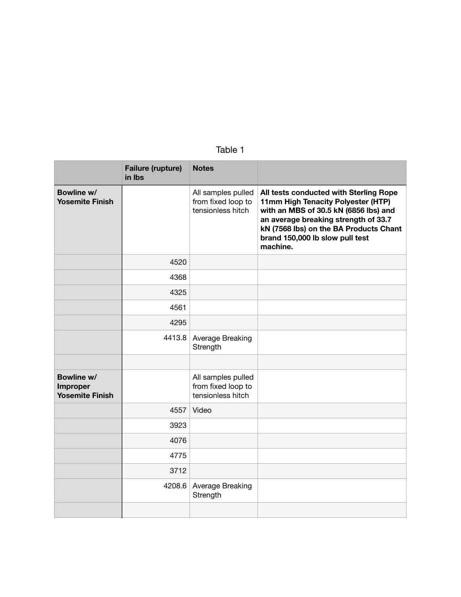| ъ. |
|----|
|----|

|                                                  | Failure (rupture)<br>in Ibs | <b>Notes</b>                                                  |                                                                                                                                                                                                                                                        |
|--------------------------------------------------|-----------------------------|---------------------------------------------------------------|--------------------------------------------------------------------------------------------------------------------------------------------------------------------------------------------------------------------------------------------------------|
| Bowline w/<br><b>Yosemite Finish</b>             |                             | All samples pulled<br>from fixed loop to<br>tensionless hitch | All tests conducted with Sterling Rope<br>11mm High Tenacity Polyester (HTP)<br>with an MBS of 30.5 kN (6856 lbs) and<br>an average breaking strength of 33.7<br>kN (7568 lbs) on the BA Products Chant<br>brand 150,000 lb slow pull test<br>machine. |
|                                                  | 4520                        |                                                               |                                                                                                                                                                                                                                                        |
|                                                  | 4368                        |                                                               |                                                                                                                                                                                                                                                        |
|                                                  | 4325                        |                                                               |                                                                                                                                                                                                                                                        |
|                                                  | 4561                        |                                                               |                                                                                                                                                                                                                                                        |
|                                                  | 4295                        |                                                               |                                                                                                                                                                                                                                                        |
|                                                  | 4413.8                      | Average Breaking<br>Strength                                  |                                                                                                                                                                                                                                                        |
|                                                  |                             |                                                               |                                                                                                                                                                                                                                                        |
| Bowline w/<br>Improper<br><b>Yosemite Finish</b> |                             | All samples pulled<br>from fixed loop to<br>tensionless hitch |                                                                                                                                                                                                                                                        |
|                                                  | 4557                        | Video                                                         |                                                                                                                                                                                                                                                        |
|                                                  | 3923                        |                                                               |                                                                                                                                                                                                                                                        |
|                                                  | 4076                        |                                                               |                                                                                                                                                                                                                                                        |
|                                                  | 4775                        |                                                               |                                                                                                                                                                                                                                                        |
|                                                  | 3712                        |                                                               |                                                                                                                                                                                                                                                        |
|                                                  | 4208.6                      | Average Breaking<br>Strength                                  |                                                                                                                                                                                                                                                        |
|                                                  |                             |                                                               |                                                                                                                                                                                                                                                        |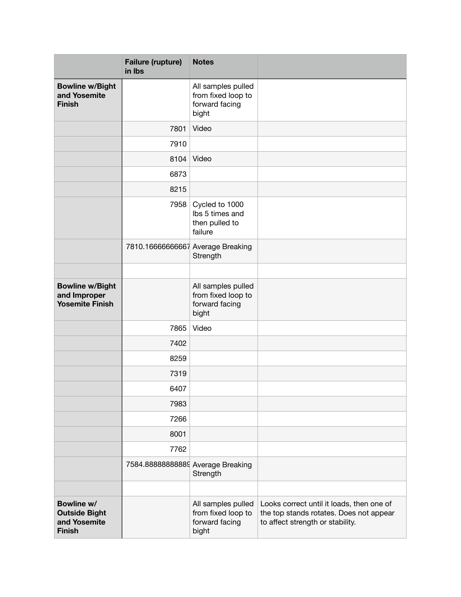|                                                                     | <b>Failure (rupture)</b><br>in Ibs | <b>Notes</b>                                                        |                                                                                                                          |
|---------------------------------------------------------------------|------------------------------------|---------------------------------------------------------------------|--------------------------------------------------------------------------------------------------------------------------|
| <b>Bowline w/Bight</b><br>and Yosemite<br><b>Finish</b>             |                                    | All samples pulled<br>from fixed loop to<br>forward facing<br>bight |                                                                                                                          |
|                                                                     | 7801                               | Video                                                               |                                                                                                                          |
|                                                                     | 7910                               |                                                                     |                                                                                                                          |
|                                                                     | 8104                               | Video                                                               |                                                                                                                          |
|                                                                     | 6873                               |                                                                     |                                                                                                                          |
|                                                                     | 8215                               |                                                                     |                                                                                                                          |
|                                                                     | 7958                               | Cycled to 1000<br>Ibs 5 times and<br>then pulled to<br>failure      |                                                                                                                          |
|                                                                     | 7810.16666666667 Average Breaking  | Strength                                                            |                                                                                                                          |
|                                                                     |                                    |                                                                     |                                                                                                                          |
| <b>Bowline w/Bight</b><br>and Improper<br><b>Yosemite Finish</b>    |                                    | All samples pulled<br>from fixed loop to<br>forward facing<br>bight |                                                                                                                          |
|                                                                     | 7865                               | Video                                                               |                                                                                                                          |
|                                                                     | 7402                               |                                                                     |                                                                                                                          |
|                                                                     | 8259                               |                                                                     |                                                                                                                          |
|                                                                     | 7319                               |                                                                     |                                                                                                                          |
|                                                                     | 6407                               |                                                                     |                                                                                                                          |
|                                                                     | 7983                               |                                                                     |                                                                                                                          |
|                                                                     | 7266                               |                                                                     |                                                                                                                          |
|                                                                     | 8001                               |                                                                     |                                                                                                                          |
|                                                                     | 7762                               |                                                                     |                                                                                                                          |
|                                                                     | 7584.88888888889 Average Breaking  | Strength                                                            |                                                                                                                          |
|                                                                     |                                    |                                                                     |                                                                                                                          |
| Bowline w/<br><b>Outside Bight</b><br>and Yosemite<br><b>Finish</b> |                                    | All samples pulled<br>from fixed loop to<br>forward facing<br>bight | Looks correct until it loads, then one of<br>the top stands rotates. Does not appear<br>to affect strength or stability. |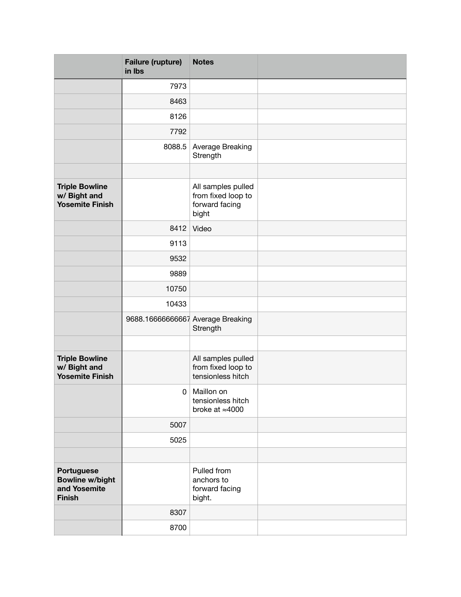|                                                                       | <b>Failure (rupture)</b><br>in Ibs | <b>Notes</b>                                                        |  |
|-----------------------------------------------------------------------|------------------------------------|---------------------------------------------------------------------|--|
|                                                                       | 7973                               |                                                                     |  |
|                                                                       | 8463                               |                                                                     |  |
|                                                                       | 8126                               |                                                                     |  |
|                                                                       | 7792                               |                                                                     |  |
|                                                                       | 8088.5                             | Average Breaking<br>Strength                                        |  |
|                                                                       |                                    |                                                                     |  |
| <b>Triple Bowline</b><br>w/ Bight and<br><b>Yosemite Finish</b>       |                                    | All samples pulled<br>from fixed loop to<br>forward facing<br>bight |  |
|                                                                       | 8412                               | Video                                                               |  |
|                                                                       | 9113                               |                                                                     |  |
|                                                                       | 9532                               |                                                                     |  |
|                                                                       | 9889                               |                                                                     |  |
|                                                                       | 10750                              |                                                                     |  |
|                                                                       | 10433                              |                                                                     |  |
|                                                                       | 9688.16666666667 Average Breaking  | Strength                                                            |  |
|                                                                       |                                    |                                                                     |  |
| <b>Triple Bowline</b><br>w/ Bight and<br><b>Yosemite Finish</b>       |                                    | All samples pulled<br>from fixed loop to<br>tensionless hitch       |  |
|                                                                       |                                    | 0   Maillon on<br>tensionless hitch<br>broke at $\approx$ 4000      |  |
|                                                                       | 5007                               |                                                                     |  |
|                                                                       | 5025                               |                                                                     |  |
|                                                                       |                                    |                                                                     |  |
| Portuguese<br><b>Bowline w/bight</b><br>and Yosemite<br><b>Finish</b> |                                    | Pulled from<br>anchors to<br>forward facing<br>bight.               |  |
|                                                                       | 8307                               |                                                                     |  |
|                                                                       | 8700                               |                                                                     |  |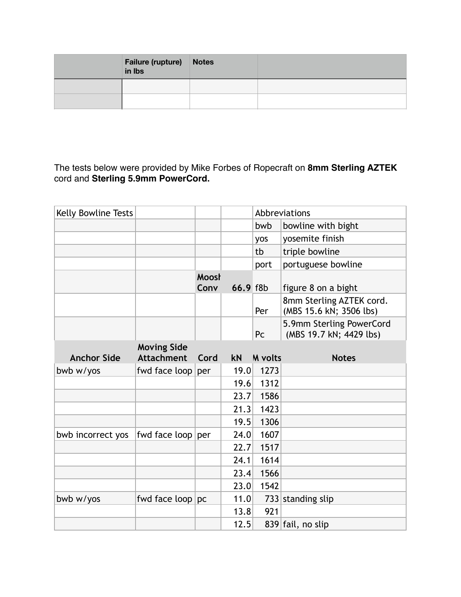| <b>Failure (rupture) Notes</b><br>in Ibs |  |
|------------------------------------------|--|
|                                          |  |
|                                          |  |

The tests below were provided by Mike Forbes of Ropecraft on **8mm Sterling AZTEK**  cord and **Sterling 5.9mm PowerCord.**

| Kelly Bowline Tests |                     |               |          |                | Abbreviations                                       |
|---------------------|---------------------|---------------|----------|----------------|-----------------------------------------------------|
|                     |                     |               |          | bwb            | bowline with bight                                  |
|                     |                     |               |          | yos            | yosemite finish                                     |
|                     |                     |               |          | tb             | triple bowline                                      |
|                     |                     |               |          | port           | portuguese bowline                                  |
|                     |                     | Moost<br>Conv | 66.9 f8b |                | figure 8 on a bight                                 |
|                     |                     |               |          | Per            | 8mm Sterling AZTEK cord.<br>(MBS 15.6 kN; 3506 lbs) |
|                     |                     |               |          | Pc             | 5.9mm Sterling PowerCord<br>(MBS 19.7 kN; 4429 lbs) |
|                     | <b>Moving Side</b>  |               |          |                |                                                     |
| <b>Anchor Side</b>  | <b>Attachment</b>   | Cord          | kN       | <b>M</b> volts | <b>Notes</b>                                        |
| bwb w/yos           | fwd face loop       | per           | 19.0     | 1273           |                                                     |
|                     |                     |               | 19.6     | 1312           |                                                     |
|                     |                     |               | 23.7     | 1586           |                                                     |
|                     |                     |               | 21.3     | 1423           |                                                     |
|                     |                     |               | 19.5     | 1306           |                                                     |
| bwb incorrect yos   | fwd face $loop per$ |               | 24.0     | 1607           |                                                     |
|                     |                     |               | 22.7     | 1517           |                                                     |
|                     |                     |               | 24.1     | 1614           |                                                     |
|                     |                     |               | 23.4     | 1566           |                                                     |
|                     |                     |               | 23.0     | 1542           |                                                     |
| bwb w/yos           | fwd face $loop pc$  |               | 11.0     |                | $733$ standing slip                                 |
|                     |                     |               | 13.8     | 921            |                                                     |
|                     |                     |               | 12.5     |                | 839 fail, no slip                                   |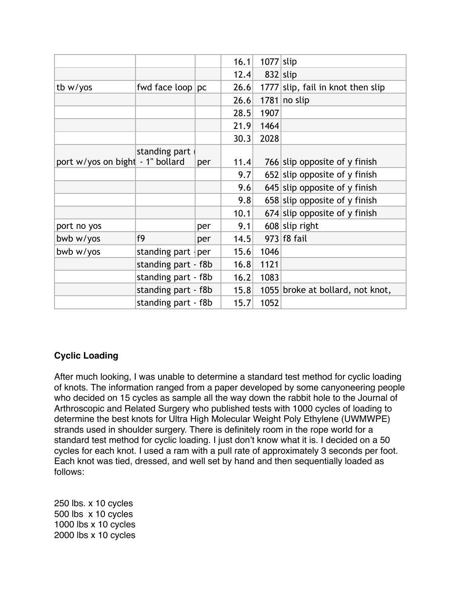|                                  |                             |     | 16.1 | $1077$ slip |                                   |
|----------------------------------|-----------------------------|-----|------|-------------|-----------------------------------|
|                                  |                             |     | 12.4 | $832$ slip  |                                   |
| tb w/yos                         | fwd face $loop pc$          |     | 26.6 |             | 1777 slip, fail in knot then slip |
|                                  |                             |     | 26.6 |             | $1781$ no slip                    |
|                                  |                             |     | 28.5 | 1907        |                                   |
|                                  |                             |     | 21.9 | 1464        |                                   |
|                                  |                             |     | 30.3 | 2028        |                                   |
| port w/yos on bight - 1" bollard | standing part               | per | 11.4 |             | 766 slip opposite of y finish     |
|                                  |                             |     | 9.7  |             | 652 slip opposite of y finish     |
|                                  |                             |     | 9.6  |             | $645$ slip opposite of y finish   |
|                                  |                             |     | 9.8  |             | 658 slip opposite of y finish     |
|                                  |                             |     | 10.1 |             | 674 slip opposite of y finish     |
| port no yos                      |                             | per | 9.1  |             | $608$ slip right                  |
| bwb w/yos                        | f9                          | per | 14.5 |             | 973 f8 fail                       |
| bwb w/yos                        | standing part $\frac{1}{2}$ | per | 15.6 | 1046        |                                   |
|                                  | standing part - f8b         |     | 16.8 | 1121        |                                   |
|                                  | standing part - f8b         |     | 16.2 | 1083        |                                   |
|                                  | standing part - f8b         |     | 15.8 |             | 1055 broke at bollard, not knot,  |
|                                  | standing part - f8b         |     | 15.7 | 1052        |                                   |

# **Cyclic Loading**

After much looking, I was unable to determine a standard test method for cyclic loading of knots. The information ranged from a paper developed by some canyoneering people who decided on 15 cycles as sample all the way down the rabbit hole to the Journal of Arthroscopic and Related Surgery who published tests with 1000 cycles of loading to determine the best knots for Ultra High Molecular Weight Poly Ethylene (UWMWPE) strands used in shoulder surgery. There is definitely room in the rope world for a standard test method for cyclic loading. I just don't know what it is. I decided on a 50 cycles for each knot. I used a ram with a pull rate of approximately 3 seconds per foot. Each knot was tied, dressed, and well set by hand and then sequentially loaded as follows:

250 lbs. x 10 cycles 500 lbs x 10 cycles 1000 lbs x 10 cycles 2000 lbs x 10 cycles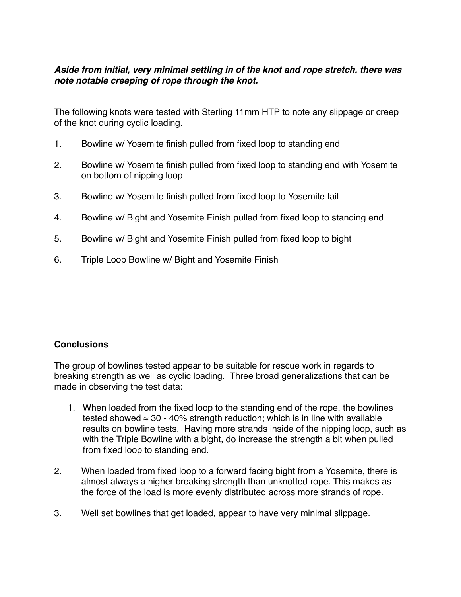## *Aside from initial, very minimal settling in of the knot and rope stretch, there was note notable creeping of rope through the knot.*

The following knots were tested with Sterling 11mm HTP to note any slippage or creep of the knot during cyclic loading.

- 1. Bowline w/ Yosemite finish pulled from fixed loop to standing end
- 2. Bowline w/ Yosemite finish pulled from fixed loop to standing end with Yosemite on bottom of nipping loop
- 3. Bowline w/ Yosemite finish pulled from fixed loop to Yosemite tail
- 4. Bowline w/ Bight and Yosemite Finish pulled from fixed loop to standing end
- 5. Bowline w/ Bight and Yosemite Finish pulled from fixed loop to bight
- 6. Triple Loop Bowline w/ Bight and Yosemite Finish

#### **Conclusions**

The group of bowlines tested appear to be suitable for rescue work in regards to breaking strength as well as cyclic loading. Three broad generalizations that can be made in observing the test data:

- 1. When loaded from the fixed loop to the standing end of the rope, the bowlines tested showed  $\approx 30$  - 40% strength reduction; which is in line with available results on bowline tests. Having more strands inside of the nipping loop, such as with the Triple Bowline with a bight, do increase the strength a bit when pulled from fixed loop to standing end.
- 2. When loaded from fixed loop to a forward facing bight from a Yosemite, there is almost always a higher breaking strength than unknotted rope. This makes as the force of the load is more evenly distributed across more strands of rope.
- 3. Well set bowlines that get loaded, appear to have very minimal slippage.